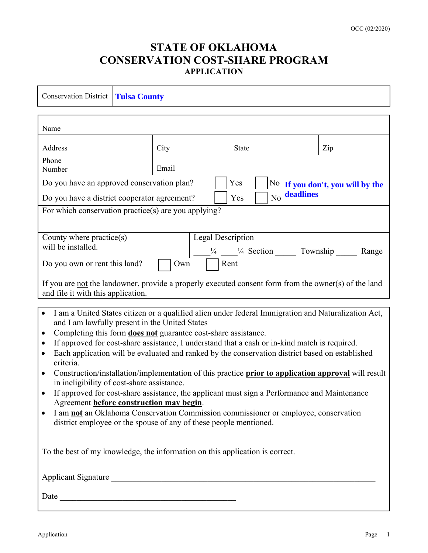## **STATE OF OKLAHOMA CONSERVATION COST-SHARE PROGRAM APPLICATION**

| <b>Conservation District</b><br><b>Tulsa County</b>                                                                                                                                                                        |       |              |     |
|----------------------------------------------------------------------------------------------------------------------------------------------------------------------------------------------------------------------------|-------|--------------|-----|
|                                                                                                                                                                                                                            |       |              |     |
| Name                                                                                                                                                                                                                       |       |              |     |
| Address                                                                                                                                                                                                                    | City  | <b>State</b> | Zip |
| Phone<br>Number                                                                                                                                                                                                            | Email |              |     |
| Do you have an approved conservation plan?<br>Yes<br>No If you don't, you will by the                                                                                                                                      |       |              |     |
| No deadlines<br>Do you have a district cooperator agreement?<br>Yes                                                                                                                                                        |       |              |     |
| For which conservation practice(s) are you applying?                                                                                                                                                                       |       |              |     |
|                                                                                                                                                                                                                            |       |              |     |
| <b>Legal Description</b><br>County where $practive(s)$                                                                                                                                                                     |       |              |     |
| will be installed.<br>$\frac{1}{4}$ $\frac{1}{4}$ Section $\frac{1}{4}$<br>Township<br>Range                                                                                                                               |       |              |     |
| Do you own or rent this land?<br>Rent<br>Own                                                                                                                                                                               |       |              |     |
| If you are not the landowner, provide a properly executed consent form from the owner(s) of the land                                                                                                                       |       |              |     |
| and file it with this application.                                                                                                                                                                                         |       |              |     |
| I am a United States citizen or a qualified alien under federal Immigration and Naturalization Act,<br>$\bullet$                                                                                                           |       |              |     |
| and I am lawfully present in the United States                                                                                                                                                                             |       |              |     |
| Completing this form <b>does not</b> guarantee cost-share assistance.<br>$\bullet$                                                                                                                                         |       |              |     |
| If approved for cost-share assistance, I understand that a cash or in-kind match is required.<br>$\bullet$<br>Each application will be evaluated and ranked by the conservation district based on established<br>$\bullet$ |       |              |     |
| criteria.                                                                                                                                                                                                                  |       |              |     |
| Construction/installation/implementation of this practice prior to application approval will result<br>$\bullet$                                                                                                           |       |              |     |
| in ineligibility of cost-share assistance.<br>If approved for cost-share assistance, the applicant must sign a Performance and Maintenance<br>$\bullet$                                                                    |       |              |     |
| Agreement before construction may begin.                                                                                                                                                                                   |       |              |     |
| I am not an Oklahoma Conservation Commission commissioner or employee, conservation<br>district employee or the spouse of any of these people mentioned.                                                                   |       |              |     |
|                                                                                                                                                                                                                            |       |              |     |
| To the best of my knowledge, the information on this application is correct.                                                                                                                                               |       |              |     |
| Applicant Signature                                                                                                                                                                                                        |       |              |     |
| Date                                                                                                                                                                                                                       |       |              |     |